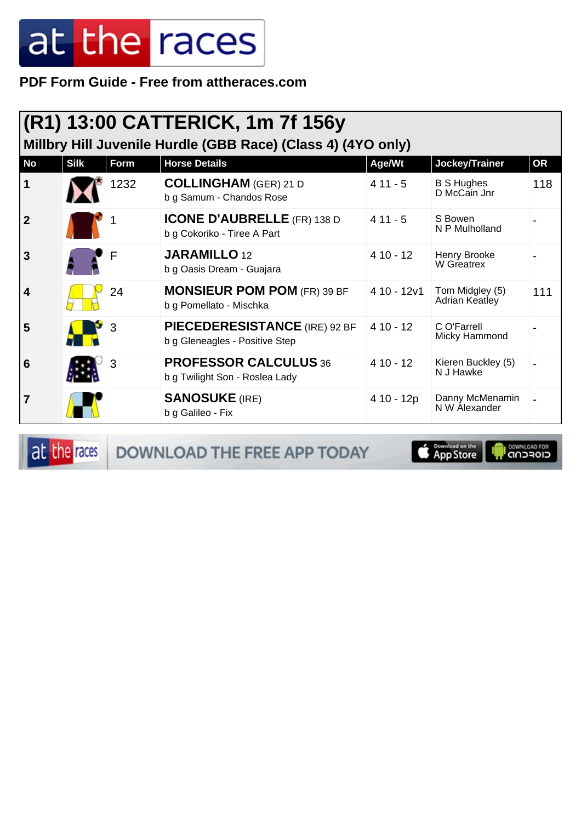PDF Form Guide - Free from attheraces.com

| $ (R1)$ 13:00 CATTERICK, 1m 7f 156y<br>Millbry Hill Juvenile Hurdle (GBB Race) (Class 4) (4YO only) |             |      |                                                                        |             |                                   |           |  |
|-----------------------------------------------------------------------------------------------------|-------------|------|------------------------------------------------------------------------|-------------|-----------------------------------|-----------|--|
| <b>No</b>                                                                                           | <b>Silk</b> | Form | <b>Horse Details</b>                                                   | Age/Wt      | Jockey/Trainer                    | <b>OR</b> |  |
| 1                                                                                                   |             | 1232 | <b>COLLINGHAM</b> (GER) 21 D<br>b g Samum - Chandos Rose               | $411 - 5$   | <b>B S Hughes</b><br>D McCain Jnr | 118       |  |
| $\overline{2}$                                                                                      |             |      | <b>ICONE D'AUBRELLE</b> (FR) 138 D<br>b g Cokoriko - Tiree A Part      | $411 - 5$   | S Bowen<br>N P Mulholland         |           |  |
| 3                                                                                                   |             | F    | <b>JARAMILLO 12</b><br>b g Oasis Dream - Guajara                       | $410 - 12$  | Henry Brooke<br>W Greatrex        |           |  |
| 4                                                                                                   |             | 24   | <b>MONSIEUR POM POM (FR) 39 BF</b><br>b g Pomellato - Mischka          | 4 10 - 12v1 | Tom Midgley (5)<br>Adrian Keatley | 111       |  |
| 5                                                                                                   |             | 3    | <b>PIECEDERESISTANCE</b> (IRE) 92 BF<br>b g Gleneagles - Positive Step | $410 - 12$  | C O'Farrell<br>Micky Hammond      |           |  |
| 6                                                                                                   |             | 3    | <b>PROFESSOR CALCULUS 36</b><br>b g Twilight Son - Roslea Lady         | $410 - 12$  | Kieren Buckley (5)<br>N J Hawke   |           |  |
| 7                                                                                                   |             |      | <b>SANOSUKE (IRE)</b><br>b g Galileo - Fix                             | 4 10 - 12p  | Danny McMenamin<br>N W Alexander  |           |  |

at the races

DOWNLOAD THE FREE APP TODAY

**E** Pownload on the

**I DOWNLOAD FOR**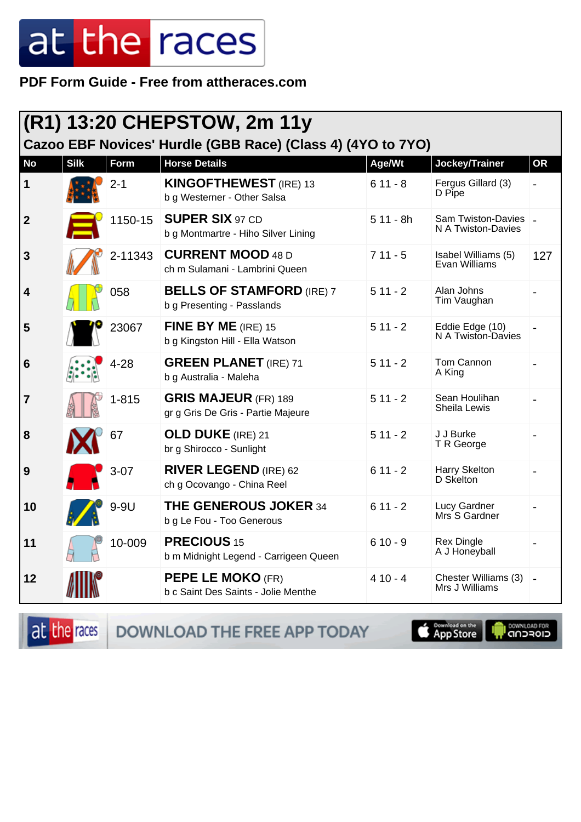PDF Form Guide - Free from attheraces.com

| (R1) 13:20 CHEPSTOW, 2m 11y                                 |             |           |                                                                   |            |                                              |           |  |
|-------------------------------------------------------------|-------------|-----------|-------------------------------------------------------------------|------------|----------------------------------------------|-----------|--|
| Cazoo EBF Novices' Hurdle (GBB Race) (Class 4) (4YO to 7YO) |             |           |                                                                   |            |                                              |           |  |
| <b>No</b>                                                   | <b>Silk</b> | Form      | <b>Horse Details</b>                                              | Age/Wt     | Jockey/Trainer                               | <b>OR</b> |  |
| 1                                                           |             | $2 - 1$   | <b>KINGOFTHEWEST</b> (IRE) 13<br>b g Westerner - Other Salsa      | $611 - 8$  | Fergus Gillard (3)<br>D Pipe                 |           |  |
| $\boldsymbol{2}$                                            |             | 1150-15   | <b>SUPER SIX 97 CD</b><br>b g Montmartre - Hiho Silver Lining     | $511 - 8h$ | Sam Twiston-Davies   _<br>N A Twiston-Davies |           |  |
| 3                                                           |             | 2-11343   | <b>CURRENT MOOD 48 D</b><br>ch m Sulamani - Lambrini Queen        | $711 - 5$  | Isabel Williams (5)<br><b>Evan Williams</b>  | 127       |  |
| 4                                                           |             | 058       | <b>BELLS OF STAMFORD (IRE) 7</b><br>b g Presenting - Passlands    | $511 - 2$  | Alan Johns<br>Tim Vaughan                    |           |  |
| 5                                                           |             | 23067     | FINE BY ME (IRE) 15<br>b g Kingston Hill - Ella Watson            | $511 - 2$  | Eddie Edge (10)<br>N A Twiston-Davies        |           |  |
| 6                                                           |             | $4 - 28$  | <b>GREEN PLANET</b> (IRE) 71<br>b g Australia - Maleha            | $511 - 2$  | Tom Cannon<br>A King                         |           |  |
| 7                                                           |             | $1 - 815$ | <b>GRIS MAJEUR (FR) 189</b><br>gr g Gris De Gris - Partie Majeure | $511 - 2$  | Sean Houlihan<br>Sheila Lewis                |           |  |
| 8                                                           |             | 67        | <b>OLD DUKE</b> (IRE) 21<br>br g Shirocco - Sunlight              | $511 - 2$  | J J Burke<br>T R George                      |           |  |
| 9                                                           |             | $3-07$    | <b>RIVER LEGEND (IRE) 62</b><br>ch g Ocovango - China Reel        | $611 - 2$  | Harry Skelton<br>D Skelton                   |           |  |
| 10                                                          |             | 9-9U      | <b>THE GENEROUS JOKER 34</b><br>b g Le Fou - Too Generous         | $611 - 2$  | Lucy Gardner<br>Mrs S Gardner                |           |  |
| 11                                                          |             | 10-009    | <b>PRECIOUS 15</b><br>b m Midnight Legend - Carrigeen Queen       | $610 - 9$  | <b>Rex Dingle</b><br>A J Honeyball           |           |  |
| 12                                                          |             |           | <b>PEPE LE MOKO (FR)</b><br>b c Saint Des Saints - Jolie Menthe   | $410 - 4$  | Chester Williams (3)<br>Mrs J Williams       |           |  |

DOWNLOAD THE FREE APP TODAY at the races

App Store

**IN DOWNLOAD FOR**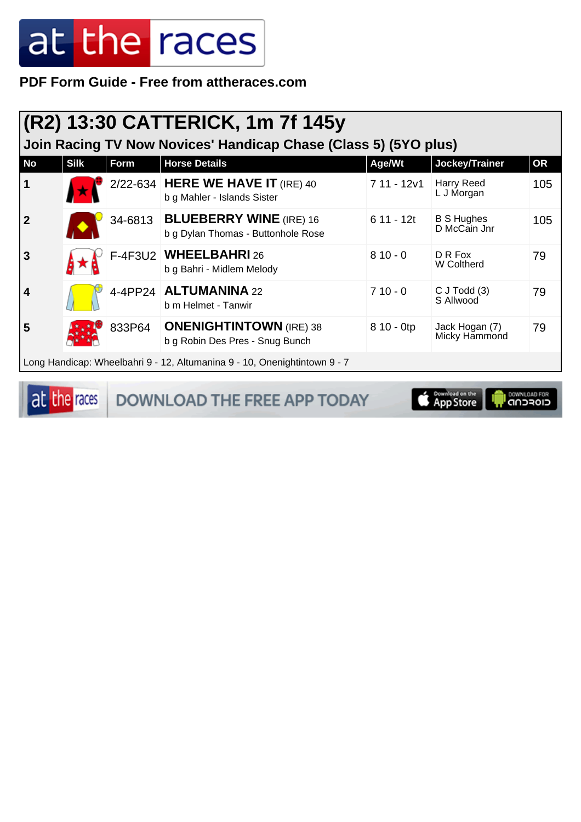PDF Form Guide - Free from attheraces.com

| (R2) 13:30 CATTERICK, 1m 7f 145y                                          |             |         |                                                                      |             |                                   |           |  |
|---------------------------------------------------------------------------|-------------|---------|----------------------------------------------------------------------|-------------|-----------------------------------|-----------|--|
| Join Racing TV Now Novices' Handicap Chase (Class 5) (5YO plus)           |             |         |                                                                      |             |                                   |           |  |
| <b>No</b>                                                                 | <b>Silk</b> | Form    | <b>Horse Details</b>                                                 | Age/Wt      | Jockey/Trainer                    | <b>OR</b> |  |
| 1                                                                         |             |         | 2/22-634 HERE WE HAVE IT (IRE) 40<br>b g Mahler - Islands Sister     | 7 11 - 12v1 | Harry Reed<br>L J Morgan          | 105       |  |
| $\mathbf 2$                                                               |             | 34-6813 | <b>BLUEBERRY WINE (IRE) 16</b><br>b g Dylan Thomas - Buttonhole Rose | $611 - 12t$ | <b>B S Hughes</b><br>D McCain Jnr | 105       |  |
| 3                                                                         |             |         | F-4F3U2 WHEELBAHRI 26<br>b g Bahri - Midlem Melody                   | $810 - 0$   | D R Fox<br>W Coltherd             | 79        |  |
|                                                                           |             |         | 4-4PP24 ALTUMANINA 22<br>b m Helmet - Tanwir                         | $710 - 0$   | $C$ J Todd $(3)$<br>S Allwood     | 79        |  |
| 5                                                                         |             | 833P64  | <b>ONENIGHTINTOWN</b> (IRE) 38<br>b g Robin Des Pres - Snug Bunch    | 8 10 - 0tp  | Jack Hogan (7)<br>Micky Hammond   | 79        |  |
| Long Handicap: Wheelbahri 9 - 12, Altumanina 9 - 10, Onenightintown 9 - 7 |             |         |                                                                      |             |                                   |           |  |

at the races

**DOWNLOAD THE FREE APP TODAY** 

App Store

il <sup>DownLGAD FOR</sup><br>CIOFCND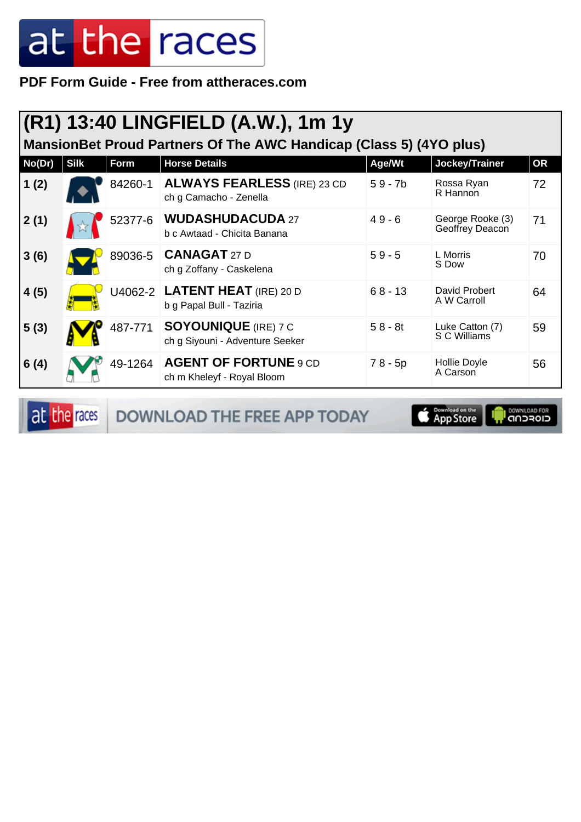**PDF Form Guide - Free from attheraces.com**

| (R1) 13:40 LINGFIELD (A.W.), 1m 1y                                 |             |         |                                                                |           |                                     |           |  |  |
|--------------------------------------------------------------------|-------------|---------|----------------------------------------------------------------|-----------|-------------------------------------|-----------|--|--|
| MansionBet Proud Partners Of The AWC Handicap (Class 5) (4YO plus) |             |         |                                                                |           |                                     |           |  |  |
| No(Dr)                                                             | <b>Silk</b> | Form    | <b>Horse Details</b>                                           | Age/Wt    | Jockey/Trainer                      | <b>OR</b> |  |  |
| 1(2)                                                               |             | 84260-1 | <b>ALWAYS FEARLESS (IRE) 23 CD</b><br>ch g Camacho - Zenella   | $59 - 7b$ | Rossa Ryan<br>R Hannon              | 72        |  |  |
| 2(1)                                                               |             | 52377-6 | <b>WUDASHUDACUDA 27</b><br>b c Awtaad - Chicita Banana         | $49 - 6$  | George Rooke (3)<br>Geoffrey Deacon | 71        |  |  |
| 3(6)                                                               |             | 89036-5 | <b>CANAGAT 27 D</b><br>ch g Zoffany - Caskelena                | $59 - 5$  | L Morris<br>S Dow                   | 70        |  |  |
| 4(5)                                                               |             |         | U4062-2   LATENT HEAT (IRE) 20 D<br>b g Papal Bull - Taziria   | $68 - 13$ | David Probert<br>A W Carroll        | 64        |  |  |
| 5(3)                                                               |             | 487-771 | <b>SOYOUNIQUE</b> (IRE) 7 C<br>ch g Siyouni - Adventure Seeker | $58 - 8t$ | Luke Catton (7)<br>S C Williams     | 59        |  |  |
| 6(4)                                                               |             | 49-1264 | <b>AGENT OF FORTUNE 9 CD</b><br>ch m Kheleyf - Royal Bloom     | $78 - 5p$ | Hollie Doyle<br>A Carson            | 56        |  |  |

at the races DOWNLOAD THE FREE APP TODAY

App Store **ELOFCUD**